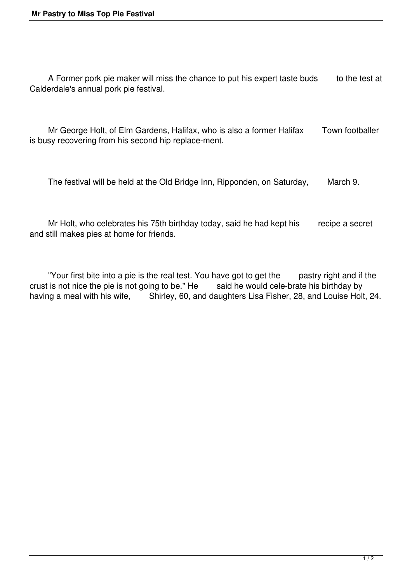A Former pork pie maker will miss the chance to put his expert taste buds to the test at Calderdale's annual pork pie festival.

 Mr George Holt, of Elm Gardens, Halifax, who is also a former Halifax Town footballer is busy recovering from his second hip replace-ment.

The festival will be held at the Old Bridge Inn, Ripponden, on Saturday, March 9.

Mr Holt, who celebrates his 75th birthday today, said he had kept his recipe a secret and still makes pies at home for friends.

 "Your first bite into a pie is the real test. You have got to get the pastry right and if the crust is not nice the pie is not going to be." He said he would cele-brate his birthday by having a meal with his wife, Shirley, 60, and daughters Lisa Fisher, 28, and Louise Holt, 24.